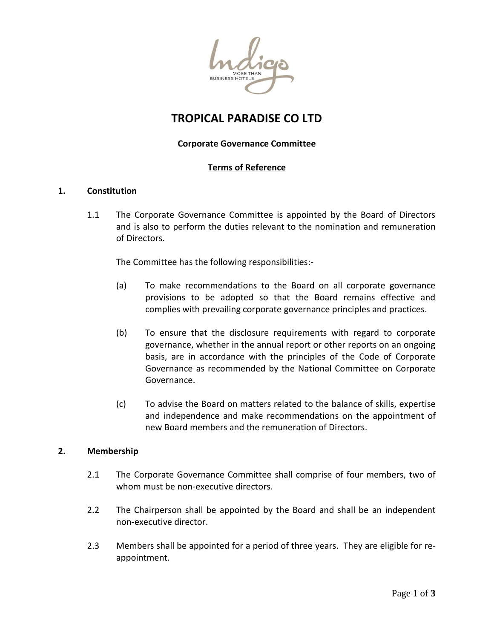

# **TROPICAL PARADISE CO LTD**

# **Corporate Governance Committee**

# **Terms of Reference**

## **1. Constitution**

1.1 The Corporate Governance Committee is appointed by the Board of Directors and is also to perform the duties relevant to the nomination and remuneration of Directors.

The Committee has the following responsibilities:-

- (a) To make recommendations to the Board on all corporate governance provisions to be adopted so that the Board remains effective and complies with prevailing corporate governance principles and practices.
- (b) To ensure that the disclosure requirements with regard to corporate governance, whether in the annual report or other reports on an ongoing basis, are in accordance with the principles of the Code of Corporate Governance as recommended by the National Committee on Corporate Governance.
- (c) To advise the Board on matters related to the balance of skills, expertise and independence and make recommendations on the appointment of new Board members and the remuneration of Directors.

#### **2. Membership**

- 2.1 The Corporate Governance Committee shall comprise of four members, two of whom must be non-executive directors.
- 2.2 The Chairperson shall be appointed by the Board and shall be an independent non-executive director.
- 2.3 Members shall be appointed for a period of three years. They are eligible for reappointment.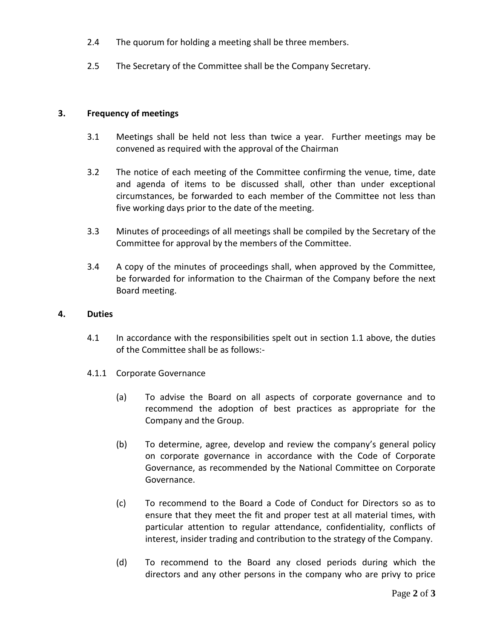- 2.4 The quorum for holding a meeting shall be three members.
- 2.5 The Secretary of the Committee shall be the Company Secretary.

## **3. Frequency of meetings**

- 3.1 Meetings shall be held not less than twice a year. Further meetings may be convened as required with the approval of the Chairman
- 3.2 The notice of each meeting of the Committee confirming the venue, time, date and agenda of items to be discussed shall, other than under exceptional circumstances, be forwarded to each member of the Committee not less than five working days prior to the date of the meeting.
- 3.3 Minutes of proceedings of all meetings shall be compiled by the Secretary of the Committee for approval by the members of the Committee.
- 3.4 A copy of the minutes of proceedings shall, when approved by the Committee, be forwarded for information to the Chairman of the Company before the next Board meeting.

#### **4. Duties**

- 4.1 In accordance with the responsibilities spelt out in section 1.1 above, the duties of the Committee shall be as follows:-
- 4.1.1 Corporate Governance
	- (a) To advise the Board on all aspects of corporate governance and to recommend the adoption of best practices as appropriate for the Company and the Group.
	- (b) To determine, agree, develop and review the company's general policy on corporate governance in accordance with the Code of Corporate Governance, as recommended by the National Committee on Corporate Governance.
	- (c) To recommend to the Board a Code of Conduct for Directors so as to ensure that they meet the fit and proper test at all material times, with particular attention to regular attendance, confidentiality, conflicts of interest, insider trading and contribution to the strategy of the Company.
	- (d) To recommend to the Board any closed periods during which the directors and any other persons in the company who are privy to price